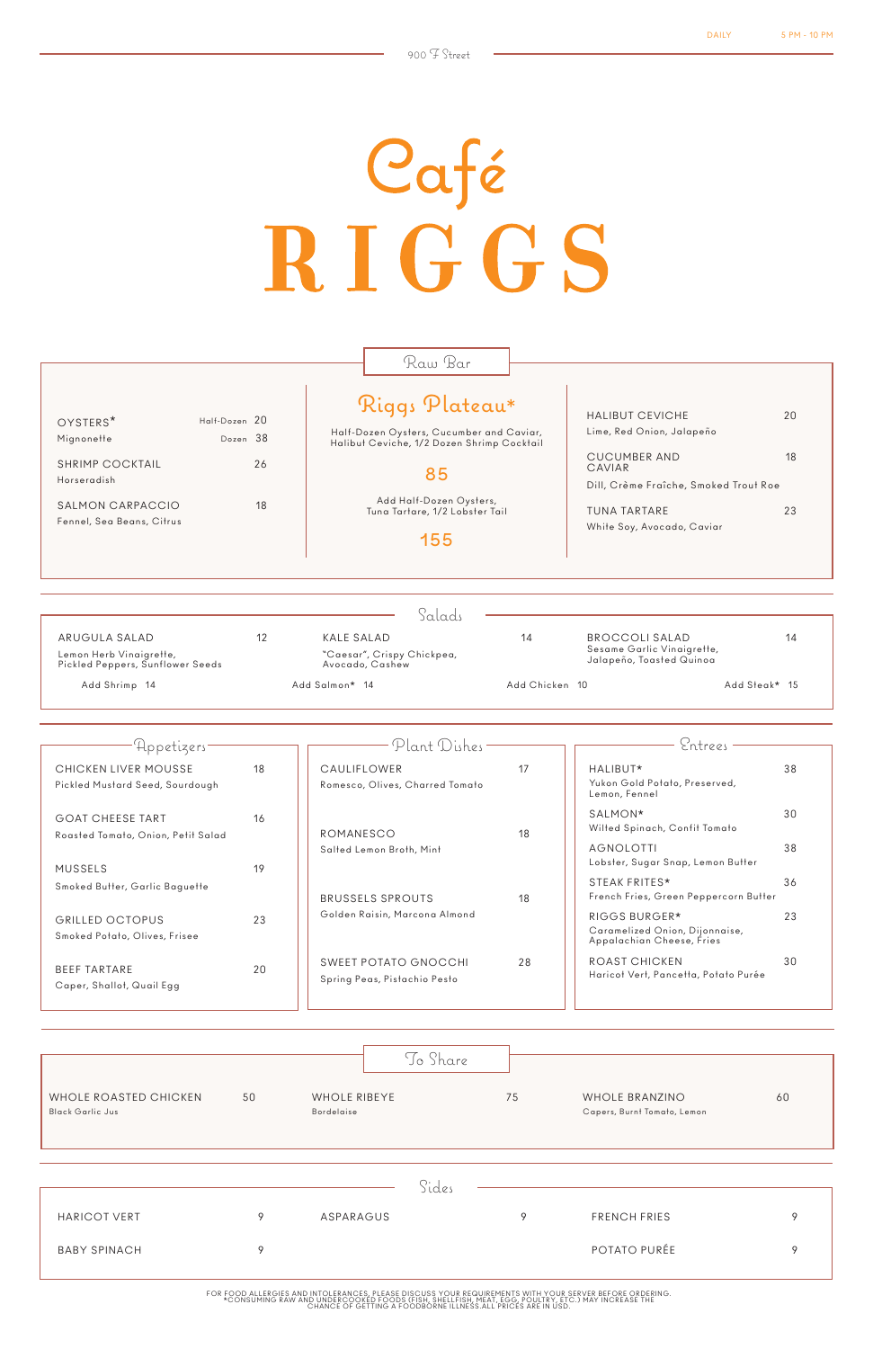# RIGGS

| Lemon Herb Vinaigrette,<br>Pickled Peppers, Sunflower Seeds |  |
|-------------------------------------------------------------|--|
| Add Shrimp 14                                               |  |

| KAIF SAI AD                                   |
|-----------------------------------------------|
| "Caesar", Crispy Chickpea,<br>Avocado, Cashew |

Add Salmon\* 14 **Add Chicken 10** Add Steak\* 15

ame Garlic Vinaigrette, Jalapeño, Toasted Quinoa

## Raw Bar

| OYSTERS*<br>Mignonette<br><b>SHRIMP COCKTAIL</b><br>Horseradish<br>SALMON CARPACCIO<br>Fennel, Sea Beans, Citrus | Half-Dozen 20<br>Dozen 38<br>26<br>18 | Riggs Plateau*<br>Half-Dozen Oysters, Cucumber and Caviar,<br>Halibut Ceviche, 1/2 Dozen Shrimp Cocktail<br>85<br>Add Half-Dozen Oysters,<br>Tuna Tartare, 1/2 Lobster Tail<br>155 |    | <b>HALIBUT CEVICHE</b><br>Lime, Red Onion, Jalapeño<br><b>CUCUMBER AND</b><br>CAVIAR<br>Dill, Crème Fraîche, Smoked Trout Roe<br><b>TUNA TARTARE</b><br>White Soy, Avocado, Caviar | 20<br>18<br>23 |
|------------------------------------------------------------------------------------------------------------------|---------------------------------------|------------------------------------------------------------------------------------------------------------------------------------------------------------------------------------|----|------------------------------------------------------------------------------------------------------------------------------------------------------------------------------------|----------------|
|                                                                                                                  |                                       |                                                                                                                                                                                    |    |                                                                                                                                                                                    |                |
| ARUGULA SALAD                                                                                                    | 12                                    | Salads<br><b>KALE SALAD</b>                                                                                                                                                        | 14 | <b>BROCCOLI SALAD</b>                                                                                                                                                              | 14             |



|                     |           | ∩∙<br>s ides |                     |  |
|---------------------|-----------|--------------|---------------------|--|
| <b>HARICOT VERT</b> | ASPARAGUS |              | <b>FRENCH FRIES</b> |  |
| <b>BABY SPINACH</b> |           |              | POTATO PURÉE        |  |

FOR FOOD ALLERGIES AND INTOLERANCES, PLEASE DISCUSS YOUR REQUIREMENTS WITH YOUR SERVER BEFORE ORDERING.<br>CONSUMING RAW AND UNDERCOOKED FOODS (FISH, SHELLFISH, MEAT, EGG, POULTRY, ETC.) MAY INCREASE THE\*\*\*<br>CHANCE OF GETTING

| Hppetizers-                                                    |    | Plant Dishes-                                               |    | Entrees                                                                      |    |
|----------------------------------------------------------------|----|-------------------------------------------------------------|----|------------------------------------------------------------------------------|----|
| <b>CHICKEN LIVER MOUSSE</b><br>Pickled Mustard Seed, Sourdough | 18 | CAULIFLOWER<br>Romesco, Olives, Charred Tomato              | 17 | HALIBUT*<br>Yukon Gold Potato, Preserved,<br>Lemon, Fennel                   | 38 |
| <b>GOAT CHEESE TART</b><br>Roasted Tomato, Onion, Petit Salad  | 16 | <b>ROMANESCO</b>                                            | 18 | SALMON*<br>Wilfed Spinach, Confit Tomato                                     | 30 |
| <b>MUSSELS</b>                                                 | 19 | Salted Lemon Broth, Mint                                    |    | <b>AGNOLOTTI</b><br>Lobster, Sugar Snap, Lemon Butter                        | 38 |
| Smoked Butter, Garlic Baguette                                 |    | <b>BRUSSELS SPROUTS</b>                                     | 18 | STEAK FRITES*<br>French Fries, Green Peppercorn Butter                       | 36 |
| <b>GRILLED OCTOPUS</b><br>Smoked Potato, Olives, Frisee        | 23 | Golden Raisin, Marcona Almond                               |    | RIGGS BURGER*<br>Caramelized Onion, Dijonnaise,<br>Appalachian Cheese, Fries | 23 |
| <b>BEEF TARTARE</b><br>Caper, Shallot, Quail Egg               | 20 | <b>SWEET POTATO GNOCCHI</b><br>Spring Peas, Pistachio Pesto | 28 | <b>ROAST CHICKEN</b><br>Haricot Vert, Pancetta, Potato Purée                 | 30 |